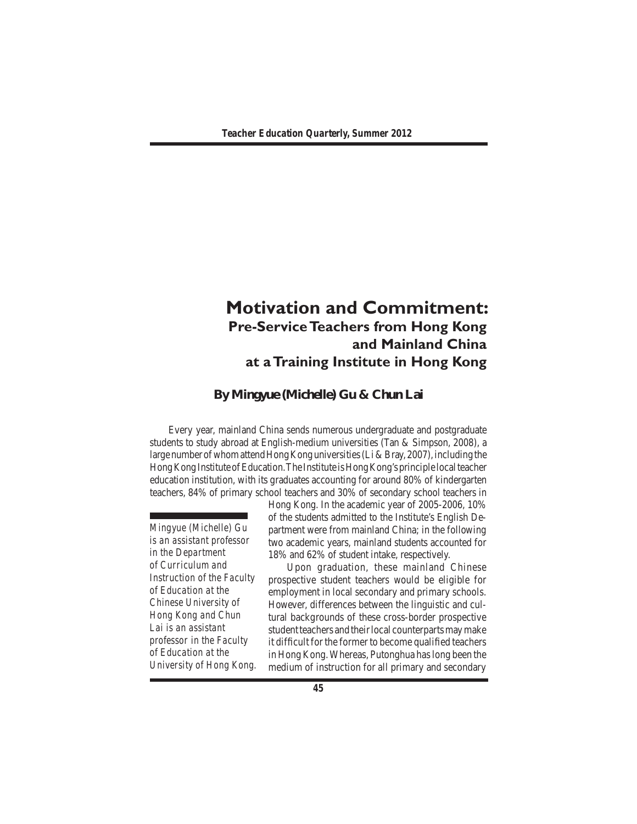# **Motivation and Commitment: Pre-Service Teachers from Hong Kong and Mainland China at a Training Institute in Hong Kong**

## **By Mingyue (Michelle) Gu & Chun Lai**

 Every year, mainland China sends numerous undergraduate and postgraduate students to study abroad at English-medium universities (Tan & Simpson, 2008), a large number of whom attend Hong Kong universities (Li & Bray, 2007), including the Hong Kong Institute of Education. The Institute is Hong Kong's principle local teacher education institution, with its graduates accounting for around 80% of kindergarten teachers, 84% of primary school teachers and 30% of secondary school teachers in

*Mingyue (Michelle) Gu is an assistant professor in the Department of Curriculum and Instruction of the Faculty of Education at the Chinese University of Hong Kong and Chun Lai is an assistant professor in the Faculty of Education at the University of Hong Kong.* Hong Kong. In the academic year of 2005-2006, 10% of the students admitted to the Institute's English Department were from mainland China; in the following two academic years, mainland students accounted for 18% and 62% of student intake, respectively.

 Upon graduation, these mainland Chinese prospective student teachers would be eligible for employment in local secondary and primary schools. However, differences between the linguistic and cultural backgrounds of these cross-border prospective student teachers and their local counterparts may make it difficult for the former to become qualified teachers in Hong Kong.Whereas, Putonghua haslong been the medium of instruction for all primary and secondary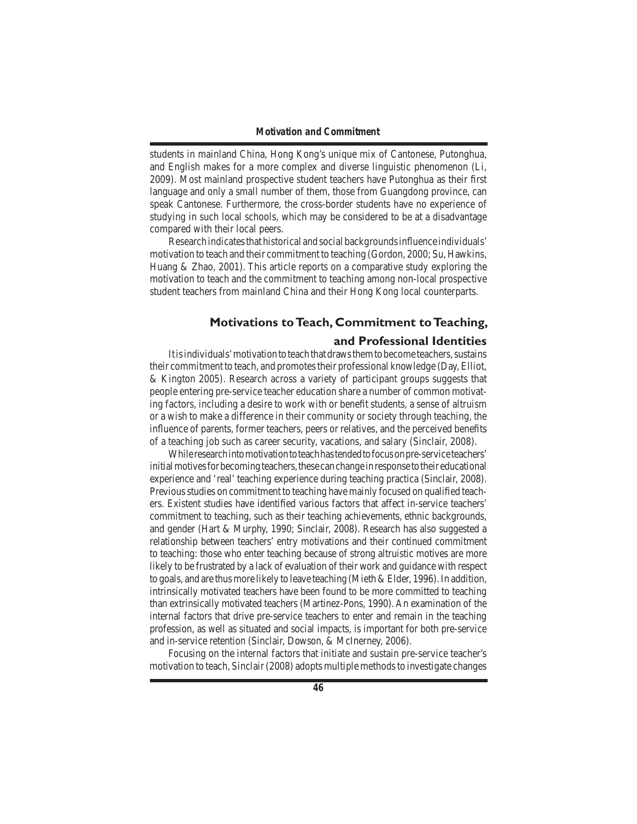students in mainland China, Hong Kong's unique mix of Cantonese, Putonghua, and English makes for a more complex and diverse linguistic phenomenon (Li, 2009). Most mainland prospective student teachers have Putonghua as their first language and only a small number of them, those from Guangdong province, can speak Cantonese. Furthermore, the cross-border students have no experience of studying in such local schools, which may be considered to be at a disadvantage compared with their local peers.

 Researchindicatesthathistorical andsocialbackgroundsinfluence individuals' motivation to teach and their commitment to teaching (Gordon, 2000; Su, Hawkins, Huang & Zhao, 2001). This article reports on a comparative study exploring the motivation to teach and the commitment to teaching among non-local prospective student teachers from mainland China and their Hong Kong local counterparts.

## **Motivations to Teach, Commitment to Teaching,**

#### **and Professional Identities**

It is individuals' motivation to teach that draws them to become teachers, sustains their commitment to teach, and promotes their professional knowledge (Day, Elliot, & Kington 2005). Research across a variety of participant groups suggests that people entering pre-service teacher education share a number of common motivating factors, including a desire to work with or benefit students, a sense of altruism or a wish to make a difference in their community or society through teaching, the influence of parents, former teachers, peers or relatives, and the perceived benefits of a teaching job such as career security, vacations, and salary (Sinclair, 2008).

While research into motivation to teach has tended to focus on pre-service teachers' initial motives for becoming teachers, these can change in response to their educational experience and 'real' teaching experience during teaching practica (Sinclair, 2008). Previousstudies on commitment to teaching have mainly focused on qualified teachers. Existent studies have identified various factors that affect in-service teachers' commitment to teaching, such as their teaching achievements, ethnic backgrounds, and gender (Hart & Murphy, 1990; Sinclair, 2008). Research has also suggested a relationship between teachers' entry motivations and their continued commitment to teaching: those who enter teaching because of strong altruistic motives are more likely to be frustrated by a lack of evaluation of their work and guidance with respect to goals, and are thus more likely to leave teaching (Mieth & Elder, 1996). In addition, intrinsically motivated teachers have been found to be more committed to teaching than extrinsically motivated teachers (Martinez-Pons, 1990). An examination of the internal factors that drive pre-service teachers to enter and remain in the teaching profession, as well as situated and social impacts, is important for both pre-service and in-service retention (Sinclair, Dowson, & McInerney, 2006).

 Focusing on the internal factors that initiate and sustain pre-service teacher's motivation to teach, Sinclair (2008) adopts multiple methods to investigate changes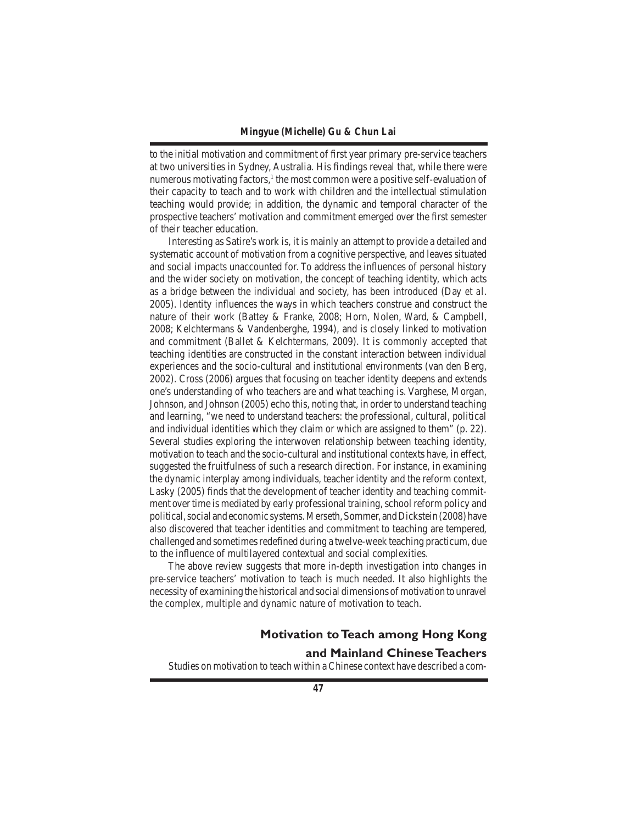to the initial motivation and commitment of first year primary pre-service teachers at two universities in Sydney, Australia. His findings reveal that, while there were numerous motivating factors, $<sup>1</sup>$  the most common were a positive self-evaluation of</sup> their capacity to teach and to work with children and the intellectual stimulation teaching would provide; in addition, the dynamic and temporal character of the prospective teachers' motivation and commitment emerged over the first semester of their teacher education.

 Interesting as Satire's work is, it is mainly an attempt to provide a detailed and systematic account of motivation from a cognitive perspective, and leaves situated and social impacts unaccounted for. To address the influences of personal history and the wider society on motivation, the concept of teaching identity, which acts as a bridge between the individual and society, has been introduced (Day *et al*. 2005). Identity influences the ways in which teachers construe and construct the nature of their work (Battey & Franke, 2008; Horn, Nolen, Ward, & Campbell, 2008; Kelchtermans & Vandenberghe, 1994), and is closely linked to motivation and commitment (Ballet & Kelchtermans, 2009). It is commonly accepted that teaching identities are constructed in the constant interaction between individual experiences and the socio-cultural and institutional environments (van den Berg, 2002). Cross (2006) argues that focusing on teacher identity deepens and extends one's understanding of who teachers are and what teaching is. Varghese, Morgan, Johnson, and Johnson (2005) echo this, noting that, in order to understand teaching and learning, "we need to understand teachers: the professional, cultural, political and individual identities which they claim or which are assigned to them" (p. 22). Several studies exploring the interwoven relationship between teaching identity, motivation to teach and the socio-cultural and institutional contexts have, in effect, suggested the fruitfulness of such a research direction. For instance, in examining the dynamic interplay among individuals, teacher identity and the reform context, Lasky (2005) finds that the development of teacher identity and teaching commitment over time is mediated by early professional training, school reform policy and political, social and economic systems. Merseth, Sommer, and Dickstein (2008) have also discovered that teacher identities and commitment to teaching are tempered, challenged and sometimes redefined during a twelve-week teaching practicum, due to the influence of multilayered contextual and social complexities.

 The above review suggests that more in-depth investigation into changes in pre-service teachers' motivation to teach is much needed. It also highlights the necessity of examining the historical and social dimensions ofmotivation to unravel the complex, multiple and dynamic nature of motivation to teach.

# **Motivation to Teach among Hong Kong**

## **and Mainland Chinese Teachers**

 Studies on motivation to teach within a Chinese context have described a com-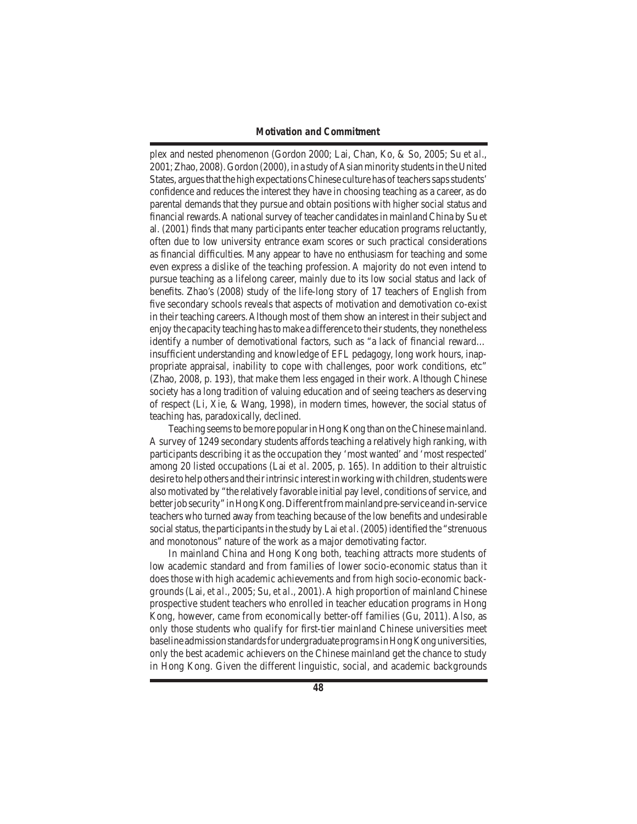#### *Motivation and Commitment*

plex and nested phenomenon (Gordon 2000; Lai, Chan, Ko, & So, 2005; Su *et al*., 2001; Zhao, 2008). Gordon (2000), in a study of Asian minority students in the United States, argues that the high expectations Chinese culture has of teachers saps students' confidence and reduces the interest they have in choosing teaching as a career, as do parental demands that they pursue and obtain positions with higher social status and financial rewards. A national survey of teacher candidates in mainland China by Su et al. (2001) finds that many participants enter teacher education programs reluctantly, often due to low university entrance exam scores or such practical considerations as financial difficulties. Many appear to have no enthusiasm for teaching and some even express a dislike of the teaching profession. A majority do not even intend to pursue teaching as a lifelong career, mainly due to its low social status and lack of benefits. Zhao's (2008) study of the life-long story of 17 teachers of English from five secondary schools reveals that aspects of motivation and demotivation co-exist in their teaching careers. Although most of them show an interest in their subject and enjoy the capacity teaching has to make a difference to their students, they nonetheless identify a number of demotivational factors, such as "a lack of financial reward… insufficient understanding and knowledge of EFL pedagogy, long work hours, inappropriate appraisal, inability to cope with challenges, poor work conditions, etc" (Zhao, 2008, p. 193), that make them less engaged in their work. Although Chinese society has a long tradition of valuing education and of seeing teachers as deserving of respect (Li, Xie, & Wang, 1998), in modern times, however, the social status of teaching has, paradoxically, declined.

Teaching seems to be more popular in Hong Kong than on the Chinese mainland. A survey of 1249 secondary students affords teaching a relatively high ranking, with participants describing it as the occupation they 'most wanted' and 'most respected' among 20 listed occupations (Lai *et al*. 2005, p. 165). In addition to their altruistic desire to help others and their intrinsic interest in working with children, students were also motivated by "the relatively favorable initial pay level, conditions of service, and better job security" in Hong Kong. Different from mainland pre-service and in-service teachers who turned away from teaching because of the low benefits and undesirable social status, the participants in the study by Lai *et al.* (2005) identified the "strenuous and monotonous" nature of the work as a major demotivating factor.

 In mainland China and Hong Kong both, teaching attracts more students of low academic standard and from families of lower socio-economic status than it does those with high academic achievements and from high socio-economic backgrounds(Lai, *et al*., 2005; Su, *et al*., 2001).A high proportion of mainland Chinese prospective student teachers who enrolled in teacher education programs in Hong Kong, however, came from economically better-off families (Gu, 2011). Also, as only those students who qualify for first-tier mainland Chinese universities meet baseline admission standards for undergraduate programs in Hong Kong universities, only the best academic achievers on the Chinese mainland get the chance to study in Hong Kong. Given the different linguistic, social, and academic backgrounds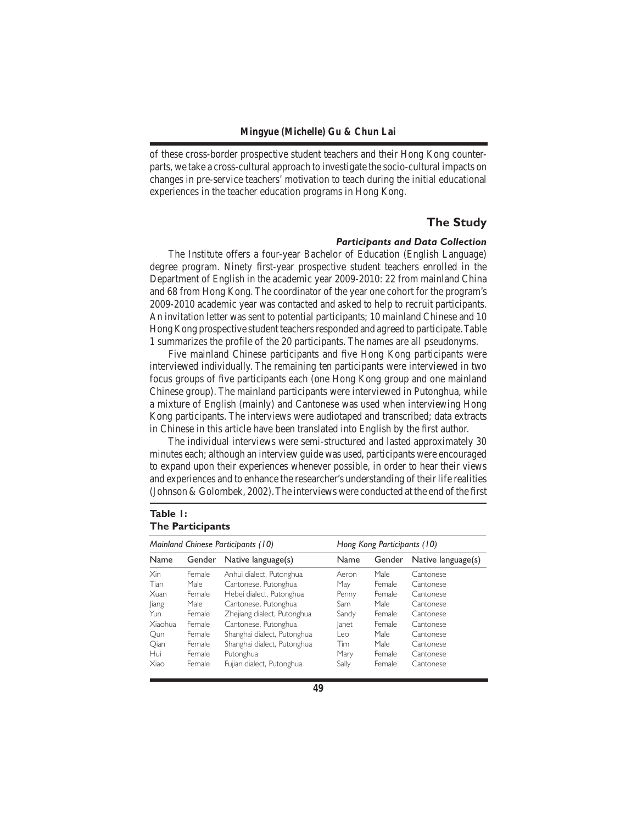of these cross-border prospective student teachers and their Hong Kong counterparts, we take a cross-cultural approach to investigate the socio-cultural impacts on changes in pre-service teachers' motivation to teach during the initial educational experiences in the teacher education programs in Hong Kong.

## **The Study**

## *Participants and Data Collection*

 The Institute offers a four-year Bachelor of Education (English Language) degree program. Ninety first-year prospective student teachers enrolled in the Department of English in the academic year 2009-2010: 22 from mainland China and 68 from Hong Kong. The coordinator of the year one cohort for the program's 2009-2010 academic year was contacted and asked to help to recruit participants. An invitation letter was sent to potential participants; 10 mainland Chinese and 10 Hong Kong prospective student teachers responded and agreed to participate. Table 1 summarizes the profile of the 20 participants. The names are all pseudonyms.

 Five mainland Chinese participants and five Hong Kong participants were interviewed individually. The remaining ten participants were interviewed in two focus groups of five participants each (one Hong Kong group and one mainland Chinese group). The mainland participants were interviewed in Putonghua, while a mixture of English (mainly) and Cantonese was used when interviewing Hong Kong participants. The interviews were audiotaped and transcribed; data extracts in Chinese in this article have been translated into English by the first author.

 The individual interviews were semi-structured and lasted approximately 30 minutes each; although an interview guide was used, participants were encouraged to expand upon their experiences whenever possible, in order to hear their views and experiences and to enhance the researcher's understanding of their life realities (Johnson  $&$  Golombek, 2002). The interviews were conducted at the end of the first

## **Table 1: The Participants**

| Mainland Chinese Participants (10) |               |                             | Hong Kong Participants (10) |        |                    |
|------------------------------------|---------------|-----------------------------|-----------------------------|--------|--------------------|
| Name                               | Gender        | Native language(s)          | Name                        | Gender | Native language(s) |
| Xin                                | Female        | Anhui dialect, Putonghua    | Aeron                       | Male.  | Cantonese          |
| Tian                               | Male.         | Cantonese, Putonghua        | May                         | Female | Cantonese          |
| Xuan                               | Female        | Hebei dialect, Putonghua    | Penny                       | Female | Cantonese          |
| liang                              | Male.         | Cantonese, Putonghua        | Sam                         | Male.  | Cantonese          |
| Yun                                | <b>Female</b> | Zhejiang dialect, Putonghua | Sandy                       | Female | Cantonese          |
| <b>Xiaohua</b>                     | Female        | Cantonese, Putonghua        | lanet                       | Female | Cantonese          |
| Qun                                | Female        | Shanghai dialect, Putonghua | l eo.                       | Male.  | Cantonese          |
| Oian                               | Female        | Shanghai dialect, Putonghua | Tim                         | Male.  | Cantonese          |
| Hui                                | Female        | Putonghua                   | Mary                        | Female | Cantonese          |
| Xiao                               | Female        | Fujian dialect, Putonghua   | Sally                       | Female | Cantonese          |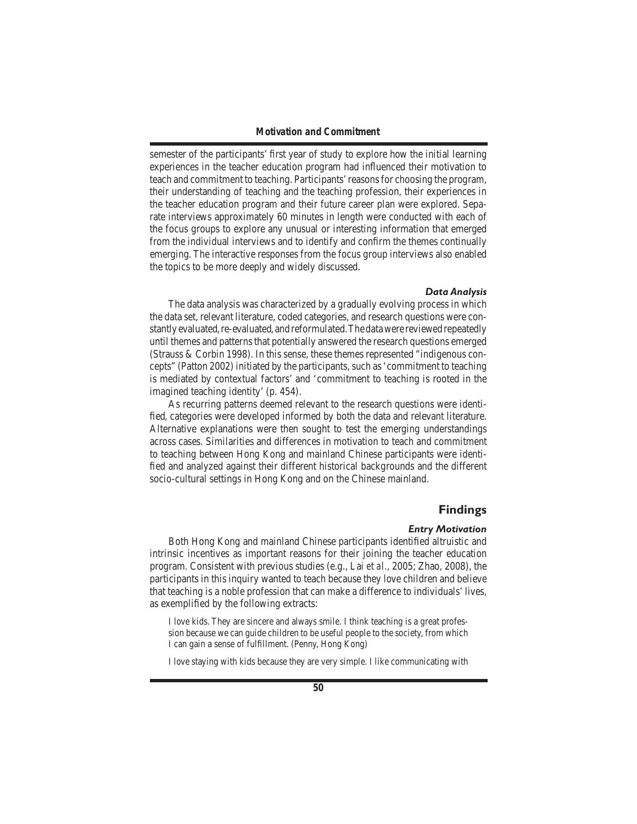semester of the participants' first year of study to explore how the initial learning experiences in the teacher education program had influenced their motivation to teach and commitment to teaching. Participants' reasons for choosing the program, their understanding of teaching and the teaching profession, their experiences in the teacher education program and their future career plan were explored. Separate interviews approximately 60 minutes in length were conducted with each of the focus groups to explore any unusual or interesting information that emerged from the individual interviews and to identify and confirm the themes continually emerging. The interactive responses from the focus group interviews also enabled the topics to be more deeply and widely discussed.

#### *Data Analysis*

The data analysis was characterized by a gradually evolving process in which the data set, relevant literature, coded categories, and research questions were constantly evaluated, re-evaluated, and reformulated. The data were reviewed repeatedly until themes and patterns that potentially answered the research questions emerged (Strauss & Corbin 1998). In this sense, these themes represented "indigenous concepts" (Patton 2002) initiated by the participants, such as 'commitment to teaching is mediated by contextual factors' and 'commitment to teaching is rooted in the imagined teaching identity' (p. 454).

 As recurring patterns deemed relevant to the research questions were identified, categories were developed informed by both the data and relevant literature. Alternative explanations were then sought to test the emerging understandings across cases. Similarities and differences in motivation to teach and commitment to teaching between Hong Kong and mainland Chinese participants were identified and analyzed against their different historical backgrounds and the different socio-cultural settings in Hong Kong and on the Chinese mainland.

#### **Findings**

#### *Entry Motivation*

 Both Hong Kong and mainland Chinese participants identified altruistic and intrinsic incentives as important reasons for their joining the teacher education program. Consistent with previous studies (e.g., Lai *et al*., 2005; Zhao, 2008), the participants in this inquiry wanted to teach because they love children and believe that teaching is a noble profession that can make a difference to individuals'lives, as exemplified by the following extracts:

I love kids. They are sincere and always smile. I think teaching is a great profession because we can guide children to be useful people to the society, from which I can gain a sense of fulfillment. (Penny, Hong Kong)

I love staying with kids because they are very simple. I like communicating with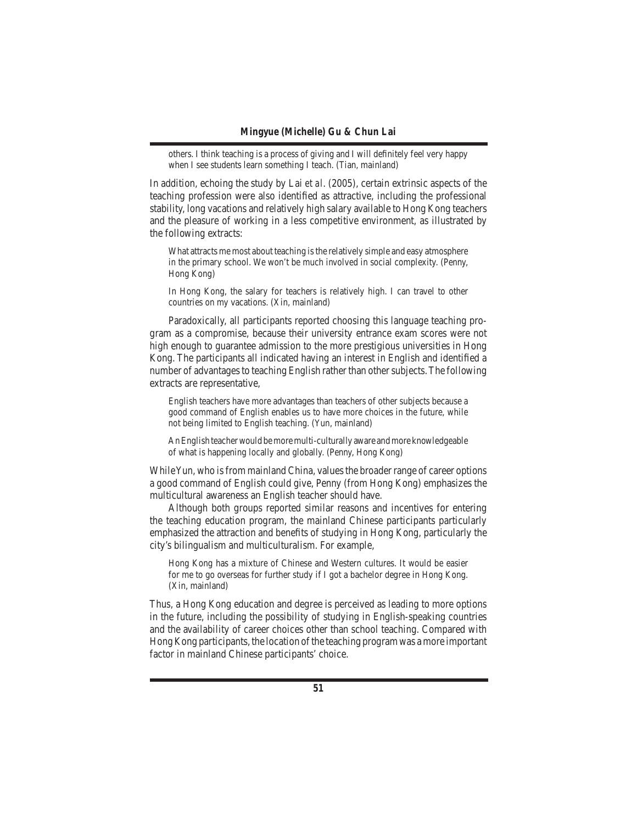others. I think teaching is a process of giving and I will definitely feel very happy when I see students learn something I teach. (Tian, mainland)

In addition, echoing the study by Lai *et al*. (2005), certain extrinsic aspects of the teaching profession were also identified as attractive, including the professional stability, long vacations and relatively high salary available to Hong Kong teachers and the pleasure of working in a less competitive environment, as illustrated by the following extracts:

What attracts me most about teaching is the relatively simple and easy atmosphere in the primary school. We won't be much involved in social complexity. (Penny, Hong Kong)

In Hong Kong, the salary for teachers is relatively high. I can travel to other countries on my vacations. (Xin, mainland)

 Paradoxically, all participants reported choosing this language teaching program as a compromise, because their university entrance exam scores were not high enough to guarantee admission to the more prestigious universities in Hong Kong. The participants all indicated having an interest in English and identified a number of advantages to teaching English rather than other subjects. The following extracts are representative,

English teachers have more advantages than teachers of other subjects because a good command of English enables us to have more choices in the future, while not being limited to English teaching. (Yun, mainland)

An English teacher would be more multi-culturally aware and more knowledgeable of what is happening locally and globally. (Penny, Hong Kong)

While Yun, who is from mainland China, values the broader range of career options a good command of English could give, Penny (from Hong Kong) emphasizes the multicultural awareness an English teacher should have.

 Although both groups reported similar reasons and incentives for entering the teaching education program, the mainland Chinese participants particularly emphasized the attraction and benefits of studying in Hong Kong, particularly the city's bilingualism and multiculturalism. For example,

Hong Kong has a mixture of Chinese and Western cultures. It would be easier for me to go overseas for further study if I got a bachelor degree in Hong Kong. (Xin, mainland)

Thus, a Hong Kong education and degree is perceived as leading to more options in the future, including the possibility of studying in English-speaking countries and the availability of career choices other than school teaching. Compared with Hong Kong participants, the location of the teaching program was a more important factor in mainland Chinese participants' choice.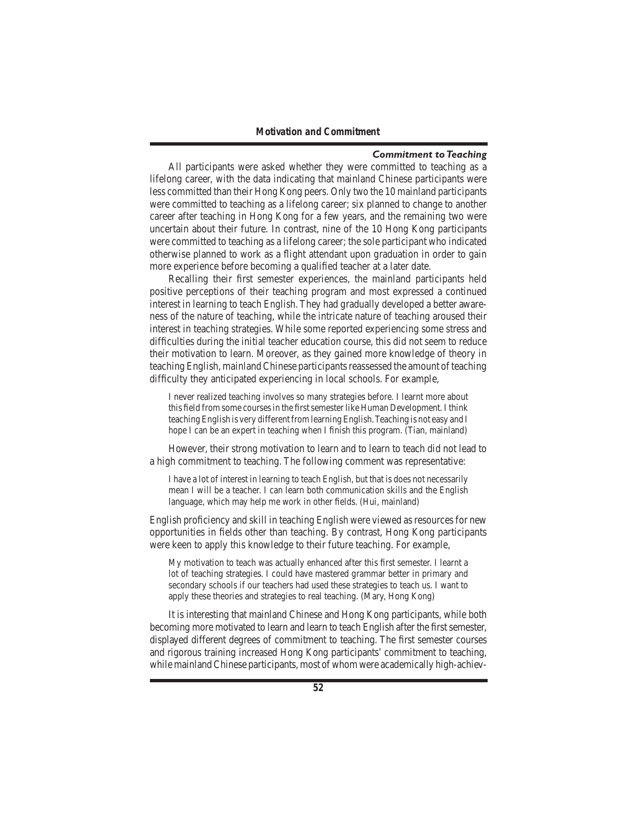#### *Commitment to Teaching*

 All participants were asked whether they were committed to teaching as a lifelong career, with the data indicating that mainland Chinese participants were less committed than their Hong Kong peers. Only two the 10 mainland participants were committed to teaching as a lifelong career; six planned to change to another career after teaching in Hong Kong for a few years, and the remaining two were uncertain about their future. In contrast, nine of the 10 Hong Kong participants were committed to teaching as a lifelong career; the sole participant who indicated otherwise planned to work as a flight attendant upon graduation in order to gain more experience before becoming a qualified teacher at a later date.

 Recalling their first semester experiences, the mainland participants held positive perceptions of their teaching program and most expressed a continued interest in learning to teach English. They had gradually developed a better awareness of the nature of teaching, while the intricate nature of teaching aroused their interest in teaching strategies. While some reported experiencing some stress and difficulties during the initial teacher education course, this did not seem to reduce their motivation to learn. Moreover, as they gained more knowledge of theory in teaching English, mainland Chinese participants reassessed the amount of teaching difficulty they anticipated experiencing in local schools. For example,

I never realized teaching involves so many strategies before. I learnt more about this field from some courses in the first semester like Human Development. I think teaching English is very different from learning English. Teaching is not easy and I hope I can be an expert in teaching when I finish this program. (Tian, mainland)

 However, their strong motivation to learn and to learn to teach did not lead to a high commitment to teaching. The following comment was representative:

I have a lot of interest in learning to teach English, but that is does not necessarily mean I will be a teacher. I can learn both communication skills and the English language, which may help me work in other fields. (Hui, mainland)

English proficiency and skill in teaching English were viewed as resources for new opportunities in fields other than teaching. By contrast, Hong Kong participants were keen to apply this knowledge to their future teaching. For example,

My motivation to teach was actually enhanced after this first semester. I learnt a lot of teaching strategies. I could have mastered grammar better in primary and secondary schools if our teachers had used these strategies to teach us. I want to apply these theories and strategies to real teaching. (Mary, Hong Kong)

 It is interesting that mainland Chinese and Hong Kong participants, while both becoming more motivated to learn and learn to teach English after the first semester, displayed different degrees of commitment to teaching. The first semester courses and rigorous training increased Hong Kong participants' commitment to teaching, while mainland Chinese participants, most of whom were academically high-achiev-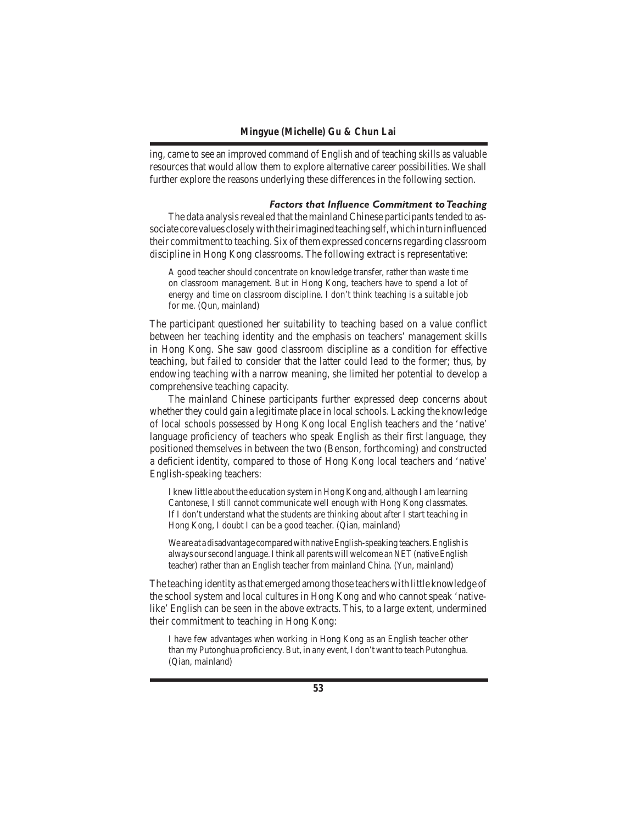ing, came to see an improved command of English and of teaching skills as valuable resources that would allow them to explore alternative career possibilities. We shall further explore the reasons underlying these differences in the following section.

#### *Factors that Influence Commitment to Teaching*

The data analysis revealed that the mainland Chinese participants tended to associate core values closely with their imagined teaching self, which in turn influenced their commitment to teaching. Six ofthem expressed concernsregarding classroom discipline in Hong Kong classrooms. The following extract is representative:

A good teacher should concentrate on knowledge transfer, rather than waste time on classroom management. But in Hong Kong, teachers have to spend a lot of energy and time on classroom discipline. I don't think teaching is a suitable job for me. (Qun, mainland)

The participant questioned her suitability to teaching based on a value conflict between her teaching identity and the emphasis on teachers' management skills in Hong Kong. She saw good classroom discipline as a condition for effective teaching, but failed to consider that the latter could lead to the former; thus, by endowing teaching with a narrow meaning, she limited her potential to develop a comprehensive teaching capacity.

 The mainland Chinese participants further expressed deep concerns about whether they could gain a legitimate place in local schools. Lacking the knowledge of local schools possessed by Hong Kong local English teachers and the 'native' language proficiency of teachers who speak English as their first language, they positioned themselves in between the two (Benson, forthcoming) and constructed a deficient identity, compared to those of Hong Kong local teachers and 'native' English-speaking teachers:

I knew little about the education system in Hong Kong and, although I am learning Cantonese, I still cannot communicate well enough with Hong Kong classmates. If I don't understand what the students are thinking about after I start teaching in Hong Kong, I doubt I can be a good teacher. (Qian, mainland)

We are at a disadvantage compared with native English-speaking teachers. English is always our second language. I think all parents will welcome an NET (native English teacher) rather than an English teacher from mainland China. (Yun, mainland)

The teaching identity asthat emerged among those teachers with little knowledge of the school system and local cultures in Hong Kong and who cannot speak 'nativelike'English can be seen in the above extracts. This, to a large extent, undermined their commitment to teaching in Hong Kong:

I have few advantages when working in Hong Kong as an English teacher other than my Putonghua proficiency.But, in any event,I don't want to teach Putonghua. (Qian, mainland)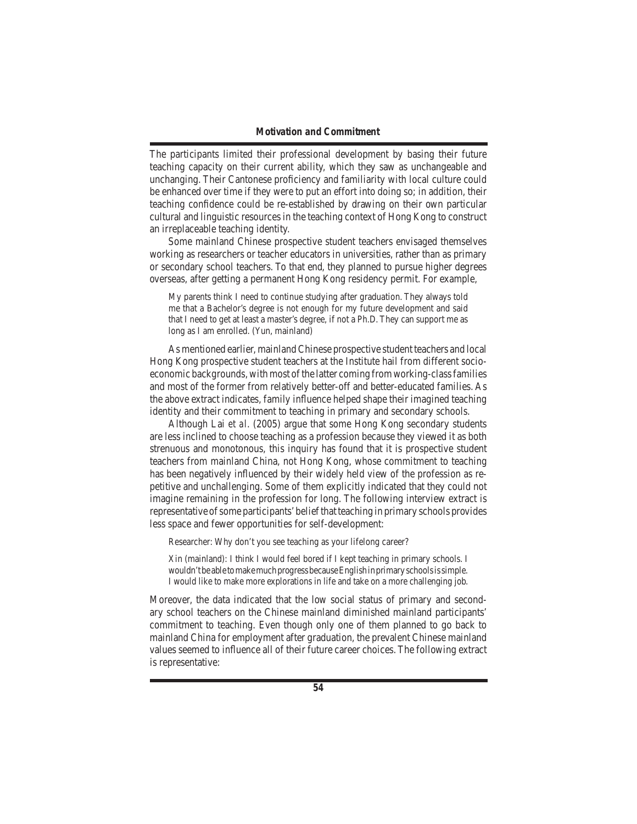The participants limited their professional development by basing their future teaching capacity on their current ability, which they saw as unchangeable and unchanging. Their Cantonese proficiency and familiarity with local culture could be enhanced over time if they were to put an effort into doing so; in addition, their teaching confidence could be re-established by drawing on their own particular cultural and linguistic resources in the teaching context of Hong Kong to construct an irreplaceable teaching identity.

 Some mainland Chinese prospective student teachers envisaged themselves working as researchers or teacher educators in universities, rather than as primary or secondary school teachers. To that end, they planned to pursue higher degrees overseas, after getting a permanent Hong Kong residency permit. For example,

My parents think I need to continue studying after graduation. They always told me that a Bachelor's degree is not enough for my future development and said that I need to get at least a master's degree, if not a Ph.D. They can support me as long as I am enrolled. (Yun, mainland)

 As mentioned earlier, mainlandChinese prospective student teachers and local Hong Kong prospective student teachers at the Institute hail from different socioeconomic backgrounds, with most of the latter coming from working-class families and most of the former from relatively better-off and better-educated families. As the above extract indicates, family influence helped shape their imagined teaching identity and their commitment to teaching in primary and secondary schools.

 Although Lai *et al*. (2005) argue that some Hong Kong secondary students are less inclined to choose teaching as a profession because they viewed it as both strenuous and monotonous, this inquiry has found that it is prospective student teachers from mainland China, not Hong Kong, whose commitment to teaching has been negatively influenced by their widely held view of the profession as repetitive and unchallenging. Some of them explicitly indicated that they could not imagine remaining in the profession for long. The following interview extract is representative of some participants' belief that teaching in primary schools provides less space and fewer opportunities for self-development:

Researcher: Why don't you see teaching as your lifelong career?

Xin (mainland): I think I would feel bored if I kept teaching in primary schools. I wouldn'tbeabletomakemuchprogressbecauseEnglishinprimaryschoolsissimple. I would like to make more explorations in life and take on a more challenging job.

Moreover, the data indicated that the low social status of primary and secondary school teachers on the Chinese mainland diminished mainland participants' commitment to teaching. Even though only one of them planned to go back to mainland China for employment after graduation, the prevalent Chinese mainland values seemed to influence all of their future career choices. The following extract is representative: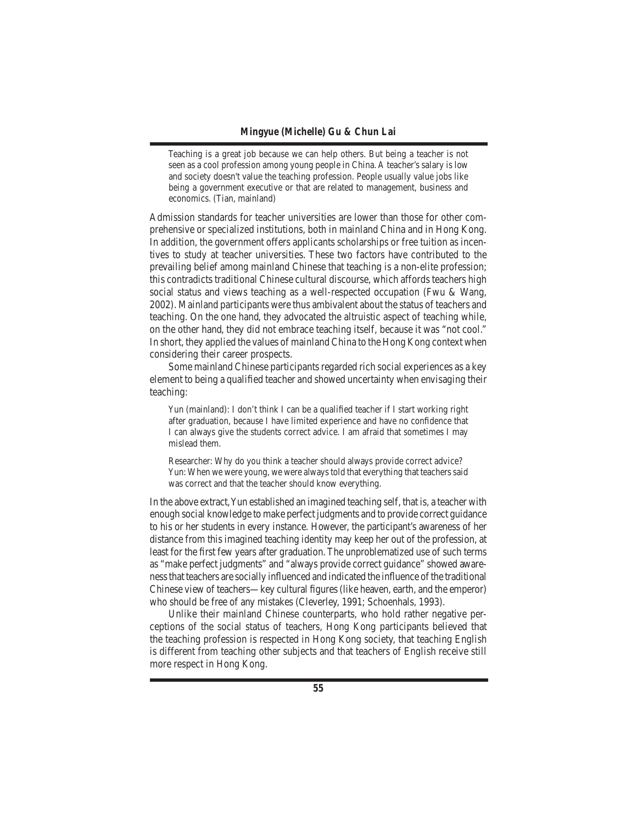Teaching is a great job because we can help others. But being a teacher is not seen as a cool profession among young people in China. A teacher's salary is low and society doesn't value the teaching profession. People usually value jobs like being a government executive or that are related to management, business and economics. (Tian, mainland)

Admission standards for teacher universities are lower than those for other comprehensive or specialized institutions, both in mainland China and in Hong Kong. In addition, the government offers applicants scholarships or free tuition as incentives to study at teacher universities. These two factors have contributed to the prevailing belief among mainland Chinese that teaching is a non-elite profession; this contradicts traditional Chinese cultural discourse, which affords teachers high social status and views teaching as a well-respected occupation (Fwu & Wang, 2002). Mainland participants were thus ambivalent about the status of teachers and teaching. On the one hand, they advocated the altruistic aspect of teaching while, on the other hand, they did not embrace teaching itself, because it was "not cool." In short, they applied the values of mainland China to the Hong Kong context when considering their career prospects.

Some mainland Chinese participants regarded rich social experiences as a key element to being a qualified teacher and showed uncertainty when envisaging their teaching:

Yun (mainland): I don't think I can be a qualified teacher if I start working right after graduation, because I have limited experience and have no confidence that I can always give the students correct advice. I am afraid that sometimes I may mislead them.

Researcher: Why do you think a teacher should always provide correct advice? Yun: When we were young, we were always told that everything that teachers said was correct and that the teacher should know everything.

In the above extract, Yun established an imagined teaching self, that is, a teacher with enough social knowledge to make perfect judgments and to provide correct guidance to his or her students in every instance. However, the participant's awareness of her distance from this imagined teaching identity may keep her out of the profession, at least for the first few years after graduation. The unproblematized use of such terms as "make perfect judgments" and "always provide correct guidance" showed awarenessthat teachers are socially influenced and indicated the influence ofthe traditional Chinese view of teachers—key cultural figures(like heaven, earth, and the emperor) who should be free of any mistakes (Cleverley, 1991; Schoenhals, 1993).

 Unlike their mainland Chinese counterparts, who hold rather negative perceptions of the social status of teachers, Hong Kong participants believed that the teaching profession is respected in Hong Kong society, that teaching English is different from teaching other subjects and that teachers of English receive still more respect in Hong Kong.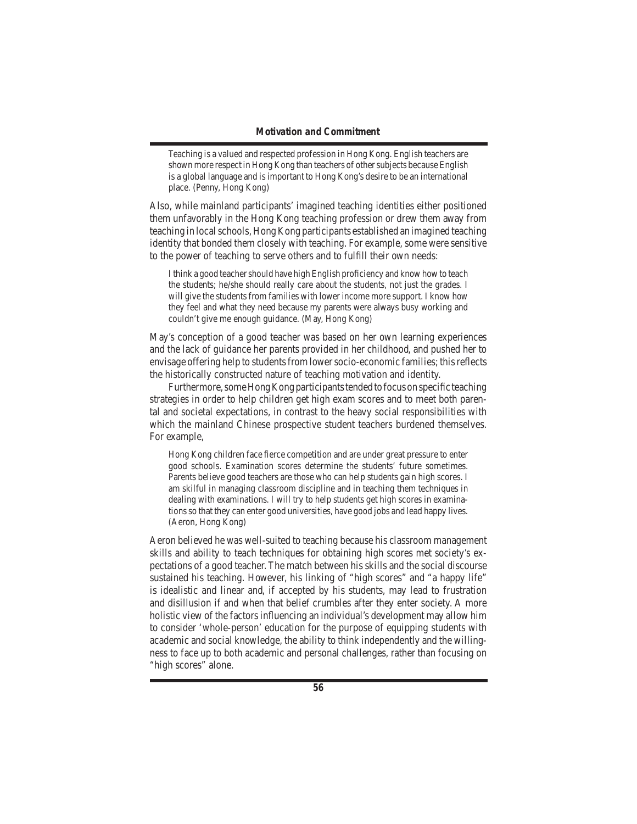Teaching is a valued and respected profession in Hong Kong. English teachers are shown more respect in Hong Kong than teachers of other subjects because English is a global language and is important to Hong Kong's desire to be an international place. (Penny, Hong Kong)

Also, while mainland participants' imagined teaching identities either positioned them unfavorably in the Hong Kong teaching profession or drew them away from teaching in localschools, Hong Kong participants established an imagined teaching identity that bonded them closely with teaching. For example, some were sensitive to the power of teaching to serve others and to fulfill their own needs:

I think a good teacher should have high English proficiency and know how to teach the students; he/she should really care about the students, not just the grades. I will give the students from families with lower income more support. I know how they feel and what they need because my parents were always busy working and couldn't give me enough guidance. (May, Hong Kong)

May's conception of a good teacher was based on her own learning experiences and the lack of guidance her parents provided in her childhood, and pushed her to envisage offering help to students from lower socio-economic families; this reflects the historically constructed nature of teaching motivation and identity.

Furthermore, some Hong Kong participants tended to focus on specific teaching strategies in order to help children get high exam scores and to meet both parental and societal expectations, in contrast to the heavy social responsibilities with which the mainland Chinese prospective student teachers burdened themselves. For example,

Hong Kong children face fierce competition and are under great pressure to enter good schools. Examination scores determine the students' future sometimes. Parents believe good teachers are those who can help students gain high scores. I am skilful in managing classroom discipline and in teaching them techniques in dealing with examinations. I will try to help students get high scores in examinationsso that they can enter good universities, have good jobs and lead happy lives. (Aeron, Hong Kong)

Aeron believed he was well-suited to teaching because his classroom management skills and ability to teach techniques for obtaining high scores met society's expectations of a good teacher. The match between his skills and the social discourse sustained his teaching. However, his linking of "high scores" and "a happy life" is idealistic and linear and, if accepted by his students, may lead to frustration and disillusion if and when that belief crumbles after they enter society. A more holistic view of the factors influencing an individual's development may allow him to consider 'whole-person' education for the purpose of equipping students with academic and social knowledge, the ability to think independently and the willingness to face up to both academic and personal challenges, rather than focusing on "high scores" alone.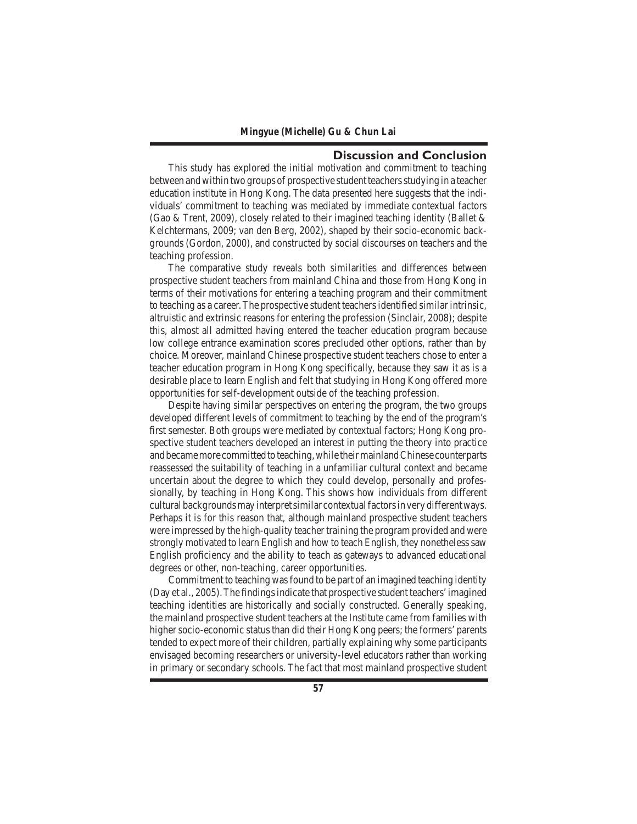## **Discussion and Conclusion**

 This study has explored the initial motivation and commitment to teaching between and within two groups of prospective student teachers studying in a teacher education institute in Hong Kong. The data presented here suggests that the individuals' commitment to teaching was mediated by immediate contextual factors (Gao & Trent, 2009), closely related to their imagined teaching identity (Ballet  $\&$ Kelchtermans, 2009; van den Berg, 2002), shaped by their socio-economic backgrounds (Gordon, 2000), and constructed by social discourses on teachers and the teaching profession.

 The comparative study reveals both similarities and differences between prospective student teachers from mainland China and those from Hong Kong in terms of their motivations for entering a teaching program and their commitment to teaching as a career.The prospective student teachersidentified similar intrinsic, altruistic and extrinsic reasons for entering the profession (Sinclair, 2008); despite this, almost all admitted having entered the teacher education program because low college entrance examination scores precluded other options, rather than by choice. Moreover, mainland Chinese prospective student teachers chose to enter a teacher education program in Hong Kong specifically, because they saw it as is a desirable place to learn English and felt that studying in Hong Kong offered more opportunities for self-development outside of the teaching profession.

 Despite having similar perspectives on entering the program, the two groups developed different levels of commitment to teaching by the end of the program's first semester. Both groups were mediated by contextual factors; Hong Kong prospective student teachers developed an interest in putting the theory into practice and became more committed to teaching, while their mainland Chinese counterparts reassessed the suitability of teaching in a unfamiliar cultural context and became uncertain about the degree to which they could develop, personally and professionally, by teaching in Hong Kong. This shows how individuals from different cultural backgrounds may interpret similar contextual factors in very different ways. Perhaps it is for this reason that, although mainland prospective student teachers were impressed by the high-quality teacher training the program provided and were strongly motivated to learn English and how to teach English, they nonetheless saw English proficiency and the ability to teach as gateways to advanced educational degrees or other, non-teaching, career opportunities.

 Commitment to teaching wasfound to be part of an imagined teaching identity (Day et al., 2005).The findingsindicate that prospective student teachers'imagined teaching identities are historically and socially constructed. Generally speaking, the mainland prospective student teachers at the Institute came from families with higher socio-economic status than did their Hong Kong peers; the formers' parents tended to expect more of their children, partially explaining why some participants envisaged becoming researchers or university-level educators rather than working in primary or secondary schools. The fact that most mainland prospective student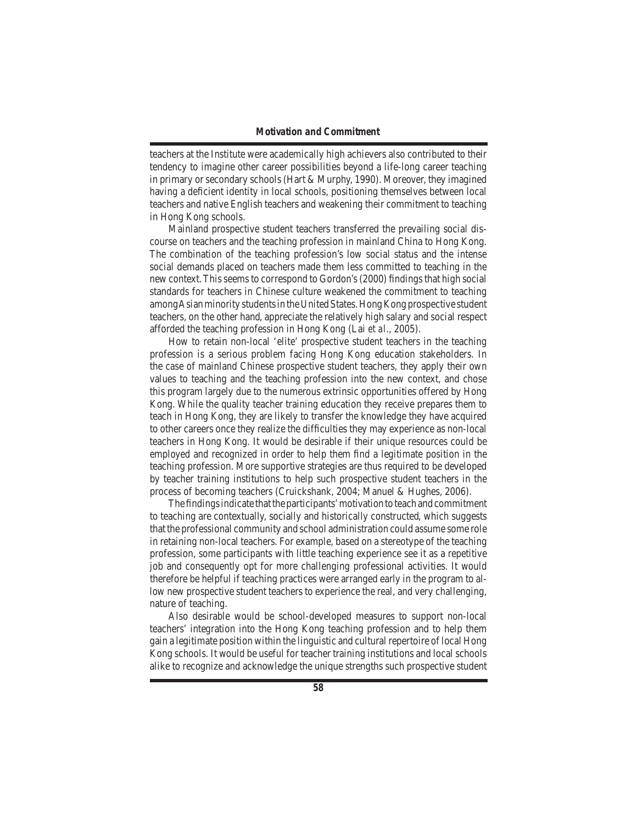teachers at the Institute were academically high achievers also contributed to their tendency to imagine other career possibilities beyond a life-long career teaching in primary or secondary schools (Hart  $&$  Murphy, 1990). Moreover, they imagined having a deficient identity in local schools, positioning themselves between local teachers and native English teachers and weakening their commitment to teaching in Hong Kong schools.

 Mainland prospective student teachers transferred the prevailing social discourse on teachers and the teaching profession in mainland China to Hong Kong. The combination of the teaching profession's low social status and the intense social demands placed on teachers made them less committed to teaching in the new context. This seems to correspond to Gordon's (2000) findings that high social standards for teachers in Chinese culture weakened the commitment to teaching among Asian minority students in the United States. Hong Kong prospective student teachers, on the other hand, appreciate the relatively high salary and social respect afforded the teaching profession in Hong Kong (Lai *et al*., 2005).

 How to retain non-local 'elite' prospective student teachers in the teaching profession is a serious problem facing Hong Kong education stakeholders. In the case of mainland Chinese prospective student teachers, they apply their own values to teaching and the teaching profession into the new context, and chose this program largely due to the numerous extrinsic opportunities offered by Hong Kong. While the quality teacher training education they receive prepares them to teach in Hong Kong, they are likely to transfer the knowledge they have acquired to other careers once they realize the difficulties they may experience as non-local teachers in Hong Kong. It would be desirable if their unique resources could be employed and recognized in order to help them find a legitimate position in the teaching profession. More supportive strategies are thus required to be developed by teacher training institutions to help such prospective student teachers in the process of becoming teachers (Cruickshank, 2004; Manuel & Hughes, 2006).

The findings indicate that the participants' motivation to teach and commitment to teaching are contextually, socially and historically constructed, which suggests that the professional community and school administration could assume some role in retaining non-local teachers. For example, based on a stereotype of the teaching profession, some participants with little teaching experience see it as a repetitive job and consequently opt for more challenging professional activities. It would therefore be helpful if teaching practices were arranged early in the program to allow new prospective student teachers to experience the real, and very challenging, nature of teaching.

 Also desirable would be school-developed measures to support non-local teachers' integration into the Hong Kong teaching profession and to help them gain a legitimate position within the linguistic and cultural repertoire of local Hong Kong schools. It would be useful for teacher training institutions and local schools alike to recognize and acknowledge the unique strengths such prospective student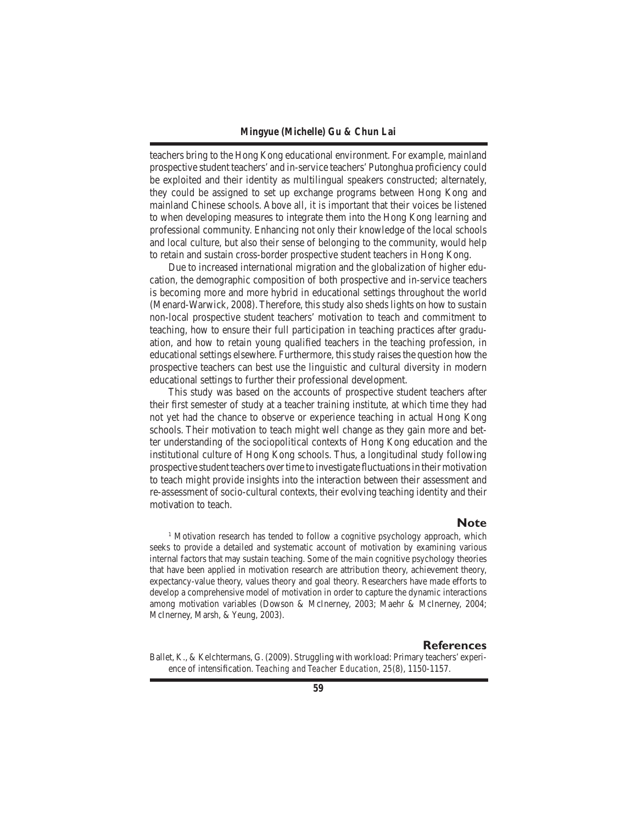teachers bring to the Hong Kong educational environment. For example, mainland prospective student teachers'and in-service teachers'Putonghua proficiency could be exploited and their identity as multilingual speakers constructed; alternately, they could be assigned to set up exchange programs between Hong Kong and mainland Chinese schools. Above all, it is important that their voices be listened to when developing measures to integrate them into the Hong Kong learning and professional community. Enhancing not only their knowledge of the local schools and local culture, but also their sense of belonging to the community, would help to retain and sustain cross-border prospective student teachers in Hong Kong.

 Due to increased international migration and the globalization of higher education, the demographic composition of both prospective and in-service teachers is becoming more and more hybrid in educational settings throughout the world (Menard-Warwick, 2008).Therefore, this study also sheds lights on how to sustain non-local prospective student teachers' motivation to teach and commitment to teaching, how to ensure their full participation in teaching practices after graduation, and how to retain young qualified teachers in the teaching profession, in educational settings elsewhere. Furthermore, this study raises the question how the prospective teachers can best use the linguistic and cultural diversity in modern educational settings to further their professional development.

 This study was based on the accounts of prospective student teachers after their first semester of study at a teacher training institute, at which time they had not yet had the chance to observe or experience teaching in actual Hong Kong schools. Their motivation to teach might well change as they gain more and better understanding of the sociopolitical contexts of Hong Kong education and the institutional culture of Hong Kong schools. Thus, a longitudinal study following prospective student teachers overtime to investigate fluctuationsin their motivation to teach might provide insights into the interaction between their assessment and re-assessment of socio-cultural contexts, their evolving teaching identity and their motivation to teach.

#### **Note**

<sup>1</sup> Motivation research has tended to follow a cognitive psychology approach, which seeks to provide a detailed and systematic account of motivation by examining various internal factors that may sustain teaching. Some of the main cognitive psychology theories that have been applied in motivation research are attribution theory, achievement theory, expectancy-value theory, values theory and goal theory. Researchers have made efforts to develop a comprehensive model of motivation in order to capture the dynamic interactions among motivation variables (Dowson & McInerney, 2003; Maehr & McInerney, 2004; McInerney, Marsh, & Yeung, 2003).

#### **References**

Ballet, K., & Kelchtermans, G. (2009). Struggling with workload: Primary teachers' experience of intensification. *Teaching and Teacher Education, 25*(8), 1150-1157.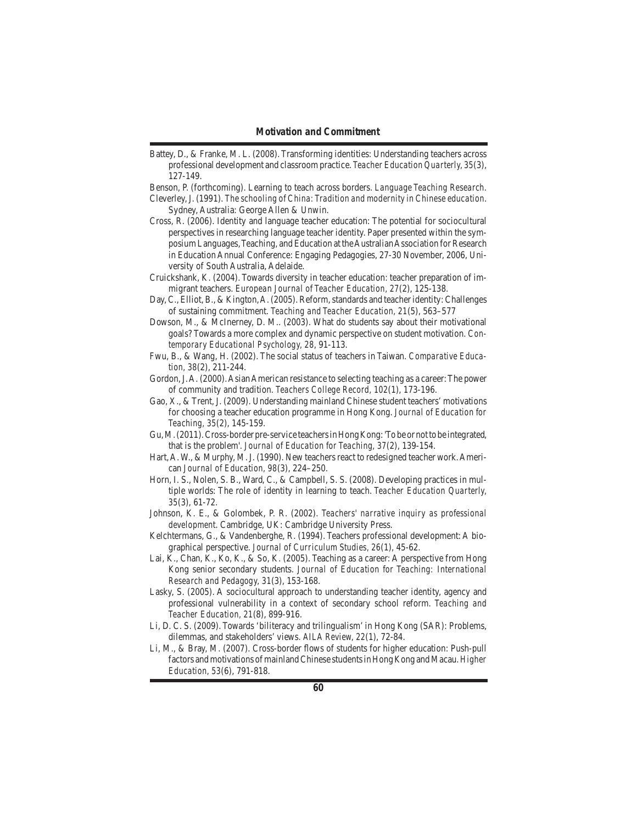Battey, D., & Franke, M. L. (2008). Transforming identities: Understanding teachers across professional development and classroom practice. *Teacher Education Quarterly, 35*(3), 127-149.

Benson, P. (forthcoming). Learning to teach across borders. *Language Teaching Research*. Cleverley,J. (1991). *The schooling of China: Tradition and modernity in Chinese education*.

Sydney, Australia: George Allen & Unwin.

- Cross, R. (2006). Identity and language teacher education: The potential for sociocultural perspectives in researching language teacher identity. Paper presented within the symposium Languages,Teaching, and Education at theAustralianAssociation forResearch in Education Annual Conference: Engaging Pedagogies, 27-30 November, 2006, University of South Australia, Adelaide.
- Cruickshank, K. (2004). Towards diversity in teacher education: teacher preparation of immigrant teachers. *European Journal of Teacher Education, 27*(2), 125-138.
- Day, C., Elliot, B., & Kington, A. (2005). Reform, standards and teacher identity: Challenges of sustaining commitment. *Teaching and Teacher Education, 21*(5), 563–577
- Dowson, M., & McInerney, D. M.. (2003). What do students say about their motivational goals? Towards a more complex and dynamic perspective on student motivation. *Contemporary Educational Psychology, 28*, 91-113.
- Fwu, B., & Wang, H. (2002). The social status of teachers in Taiwan. *Comparative Education, 38*(2), 211-244.
- Gordon, J. A. (2000). Asian American resistance to selecting teaching as a career: The power of community and tradition. *Teachers College Record, 102*(1), 173-196.
- Gao, X., & Trent, J. (2009). Understanding mainland Chinese student teachers'motivations for choosing a teacher education programme in Hong Kong. *Journal of Education for Teaching, 35*(2), 145-159.
- Gu, M. (2011). Cross-border pre-service teachers in Hong Kong: 'To be or not to be integrated, that is the problem'. *Journal of Education for Teaching, 37*(2), 139-154.
- Hart,A.W., & Murphy, M.J. (1990). New teachersreact to redesigned teacher work.American *Journal of Education, 98*(3), 224–250.
- Horn, I. S., Nolen, S. B., Ward, C., & Campbell, S. S. (2008). Developing practices in multiple worlds: The role of identity in learning to teach. *Teacher Education Quarterly, 35*(3), 61-72.
- Johnson, K. E., & Golombek, P. R. (2002). *Teachers' narrative inquiry as professional development*. Cambridge, UK: Cambridge University Press.
- Kelchtermans, G., & Vandenberghe, R. (1994). Teachers professional development: A biographical perspective. *Journal of Curriculum Studies, 26*(1), 45-62.
- Lai, K., Chan, K., Ko, K., & So, K. (2005). Teaching as a career: A perspective from Hong Kong senior secondary students. *Journal of Education for Teaching: International Research and Pedagogy, 31*(3), 153-168.
- Lasky, S. (2005). A sociocultural approach to understanding teacher identity, agency and professional vulnerability in a context of secondary school reform. *Teaching and Teacher Education, 21*(8), 899-916.
- Li, D. C. S. (2009). Towards 'biliteracy and trilingualism'in Hong Kong (SAR): Problems, dilemmas, and stakeholders' views. *AILA Review, 22*(1), 72-84.
- Li, M., & Bray, M. (2007). Cross-border flows of students for higher education: Push-pull factors andmotivations ofmainlandChinese studentsinHongKong andMacau.*Higher Education, 53*(6), 791-818.